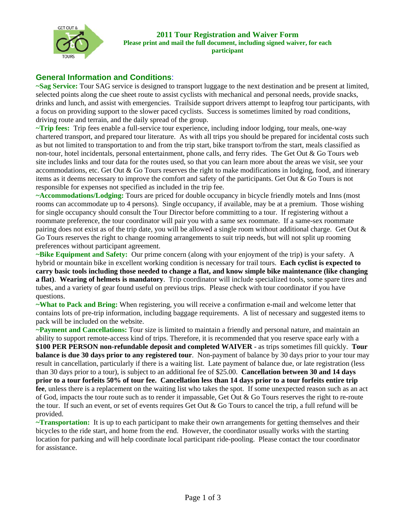

## **General Information and Conditions**:

**~Sag Service:** Tour SAG service is designed to transport luggage to the next destination and be present at limited, selected points along the cue sheet route to assist cyclists with mechanical and personal needs, provide snacks, drinks and lunch, and assist with emergencies. Trailside support drivers attempt to leapfrog tour participants, with a focus on providing support to the slower paced cyclists. Success is sometimes limited by road conditions, driving route and terrain, and the daily spread of the group.

**~Trip fees:** Trip fees enable a full-service tour experience, including indoor lodging, tour meals, one-way chartered transport, and prepared tour literature. As with all trips you should be prepared for incidental costs such as but not limited to transportation to and from the trip start, bike transport to/from the start, meals classified as non-tour, hotel incidentals, personal entertainment, phone calls, and ferry rides. The Get Out & Go Tours web site includes links and tour data for the routes used, so that you can learn more about the areas we visit, see your accommodations, etc. Get Out  $\&$  Go Tours reserves the right to make modifications in lodging, food, and itinerary items as it deems necessary to improve the comfort and safety of the participants. Get Out & Go Tours is not responsible for expenses not specified as included in the trip fee.

**~Accommodations/Lodging:** Tours are priced for double occupancy in bicycle friendly motels and Inns (most rooms can accommodate up to 4 persons). Single occupancy, if available, may be at a premium. Those wishing for single occupancy should consult the Tour Director before committing to a tour. If registering without a roommate preference, the tour coordinator will pair you with a same sex roommate. If a same-sex roommate pairing does not exist as of the trip date, you will be allowed a single room without additional charge. Get Out & Go Tours reserves the right to change rooming arrangements to suit trip needs, but will not split up rooming preferences without participant agreement.

**~Bike Equipment and Safety:** Our prime concern (along with your enjoyment of the trip) is your safety. A hybrid or mountain bike in excellent working condition is necessary for trail tours. **Each cyclist is expected to carry basic tools including those needed to change a flat, and know simple bike maintenance (like changing a flat)**. **Wearing of helmets is mandatory**. Trip coordinator will include specialized tools, some spare tires and tubes, and a variety of gear found useful on previous trips. Please check with tour coordinator if you have questions.

**~What to Pack and Bring:** When registering, you will receive a confirmation e-mail and welcome letter that contains lots of pre-trip information, including baggage requirements. A list of necessary and suggested items to pack will be included on the website.

**~Payment and Cancellations:** Tour size is limited to maintain a friendly and personal nature, and maintain an ability to support remote-access kind of trips. Therefore, it is recommended that you reserve space early with a **\$100 PER PERSON non-refundable deposit and completed WAIVER** - as trips sometimes fill quickly. **Tour balance is due 30 days prior to any registered tour**. Non-payment of balance by 30 days prior to your tour may result in cancellation, particularly if there is a waiting list. Late payment of balance due, or late registration (less than 30 days prior to a tour), is subject to an additional fee of \$25.00. **Cancellation between 30 and 14 days prior to a tour forfeits 50% of tour fee. Cancellation less than 14 days prior to a tour forfeits entire trip fee**, unless there is a replacement on the waiting list who takes the spot. If some unexpected reason such as an act of God, impacts the tour route such as to render it impassable, Get Out  $\&$  Go Tours reserves the right to re-route the tour. If such an event, or set of events requires Get Out & Go Tours to cancel the trip, a full refund will be provided.

**~Transportation:** It is up to each participant to make their own arrangements for getting themselves and their bicycles to the ride start, and home from the end. However, the coordinator usually works with the starting location for parking and will help coordinate local participant ride-pooling. Please contact the tour coordinator for assistance.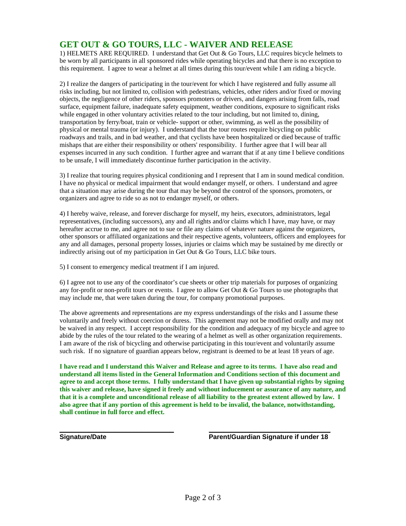## **GET OUT & GO TOURS, LLC - WAIVER AND RELEASE**

1) HELMETS ARE REQUIRED. I understand that Get Out & Go Tours, LLC requires bicycle helmets to be worn by all participants in all sponsored rides while operating bicycles and that there is no exception to this requirement. I agree to wear a helmet at all times during this tour/event while I am riding a bicycle.

2) I realize the dangers of participating in the tour/event for which I have registered and fully assume all risks including, but not limited to, collision with pedestrians, vehicles, other riders and/or fixed or moving objects, the negligence of other riders, sponsors promoters or drivers, and dangers arising from falls, road surface, equipment failure, inadequate safety equipment, weather conditions, exposure to significant risks while engaged in other voluntary activities related to the tour including, but not limited to, dining, transportation by ferry/boat, train or vehicle- support or other, swimming, as well as the possibility of physical or mental trauma (or injury). I understand that the tour routes require bicycling on public roadways and trails, and in bad weather, and that cyclists have been hospitalized or died because of traffic mishaps that are either their responsibility or others' responsibility. I further agree that I will bear all expenses incurred in any such condition. I further agree and warrant that if at any time I believe conditions to be unsafe, I will immediately discontinue further participation in the activity.

3) I realize that touring requires physical conditioning and I represent that I am in sound medical condition. I have no physical or medical impairment that would endanger myself, or others. I understand and agree that a situation may arise during the tour that may be beyond the control of the sponsors, promoters, or organizers and agree to ride so as not to endanger myself, or others.

4) I hereby waive, release, and forever discharge for myself, my heirs, executors, administrators, legal representatives, (including successors), any and all rights and/or claims which I have, may have, or may hereafter accrue to me, and agree not to sue or file any claims of whatever nature against the organizers, other sponsors or affiliated organizations and their respective agents, volunteers, officers and employees for any and all damages, personal property losses, injuries or claims which may be sustained by me directly or indirectly arising out of my participation in Get Out & Go Tours, LLC bike tours.

5) I consent to emergency medical treatment if I am injured.

6) I agree not to use any of the coordinator's cue sheets or other trip materials for purposes of organizing any for-profit or non-profit tours or events. I agree to allow Get Out & Go Tours to use photographs that may include me, that were taken during the tour, for company promotional purposes.

The above agreements and representations are my express understandings of the risks and I assume these voluntarily and freely without coercion or duress. This agreement may not be modified orally and may not be waived in any respect. I accept responsibility for the condition and adequacy of my bicycle and agree to abide by the rules of the tour related to the wearing of a helmet as well as other organization requirements. I am aware of the risk of bicycling and otherwise participating in this tour/event and voluntarily assume such risk. If no signature of guardian appears below, registrant is deemed to be at least 18 years of age.

**I have read and I understand this Waiver and Release and agree to its terms. I have also read and understand all items listed in the General Information and Conditions section of this document and agree to and accept those terms. I fully understand that I have given up substantial rights by signing this waiver and release, have signed it freely and without inducement or assurance of any nature, and that it is a complete and unconditional release of all liability to the greatest extent allowed by law. I also agree that if any portion of this agreement is held to be invalid, the balance, notwithstanding, shall continue in full force and effect.**

**\_\_\_\_\_\_\_\_\_\_\_\_\_\_\_\_\_\_\_\_\_\_\_\_\_\_\_\_\_\_\_ \_\_\_\_\_\_\_\_\_\_\_\_\_\_\_\_\_\_\_\_\_\_\_\_\_\_\_\_\_\_\_\_\_**

**Signature/Date Parent/Guardian Signature if under 18**